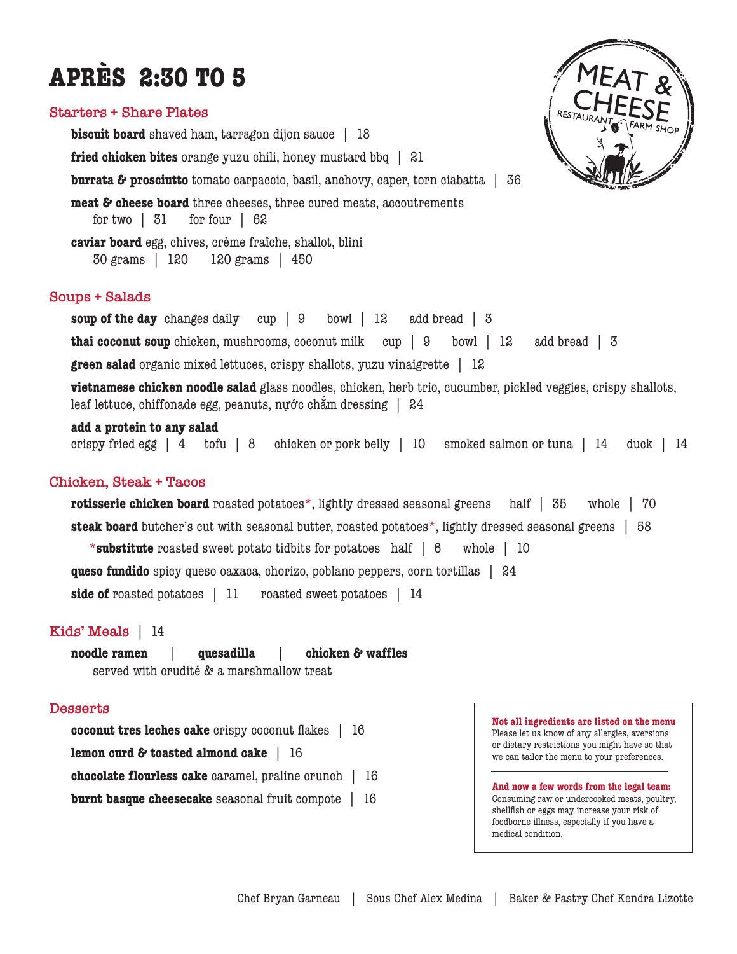# **APRÈS 2:30 TO 5**

## **Starters + Share Plates**

**biscuit board** shaved ham, tarragon dijon sauce | 18 **fried chicken bites** orange yuzu chili, honey mustard bbq | 21 **burrata & prosciutto** tomato carpaccio, basil, anchovy, caper, torn ciabatta | 36 **meat & cheese board** three cheeses, three cured meats, accoutrements for two | 31 for four | 62 **caviar board** egg, chives, crème fraîche, shallot, blini 30 grams | 120 120 grams | 450

# **Soups + Salads**

**soup of the day** changes daily cup | 9 bowl | 12 add bread | 3 **thai coconut soup** chicken, mushrooms, coconut milk cup | 9 bowl | 12 add bread | 3 **green salad** organic mixed lettuces, crispy shallots, yuzu vinaigrette | 12

**vietnamese chicken noodle salad** glass noodles, chicken, herb trio, cucumber, pickled veggies, crispy shallots, leaf lettuce, chiffonade egg, peanuts, nựớc chắm dressing | 24

## **add a protein to any salad**

crispy fried egg | 4 tofu | 8 chicken or pork belly | 10 smoked salmon or tuna | 14 duck | 14

# **Chicken, Steak + Tacos**

**rotisserie chicken board** roasted potatoes**\***, lightly dressed seasonal greens half | 35 whole | 70 **steak board** butcher's cut with seasonal butter, roasted potatoes\*, lightly dressed seasonal greens | 58 \***substitute** roasted sweet potato tidbits for potatoes half | 6 whole | 10 **queso fundido** spicy queso oaxaca, chorizo, poblano peppers, corn tortillas | 24 **side of** roasted potatoes | 11 roasted sweet potatoes | 14

# **Kids' Meals** | 14

**noodle ramen** | **quesadilla** | **chicken & waffles** served with crudité & a marshmallow treat

# **Desserts**

**coconut tres leches cake** crispy coconut flakes | 16

**lemon curd & toasted almond cake** | 16

**chocolate flourless cake** caramel, praline crunch | 16

**burnt basque cheesecake** seasonal fruit compote | 16

**Not all ingredients are listed on the menu** Please let us know of any allergies, aversions or dietary restrictions you might have so that we can tailor the menu to your preferences.

**And now a few words from the legal team:**  Consuming raw or undercooked meats, poultry, shellfish or eggs may increase your risk of foodborne illness, especially if you have a medical condition.